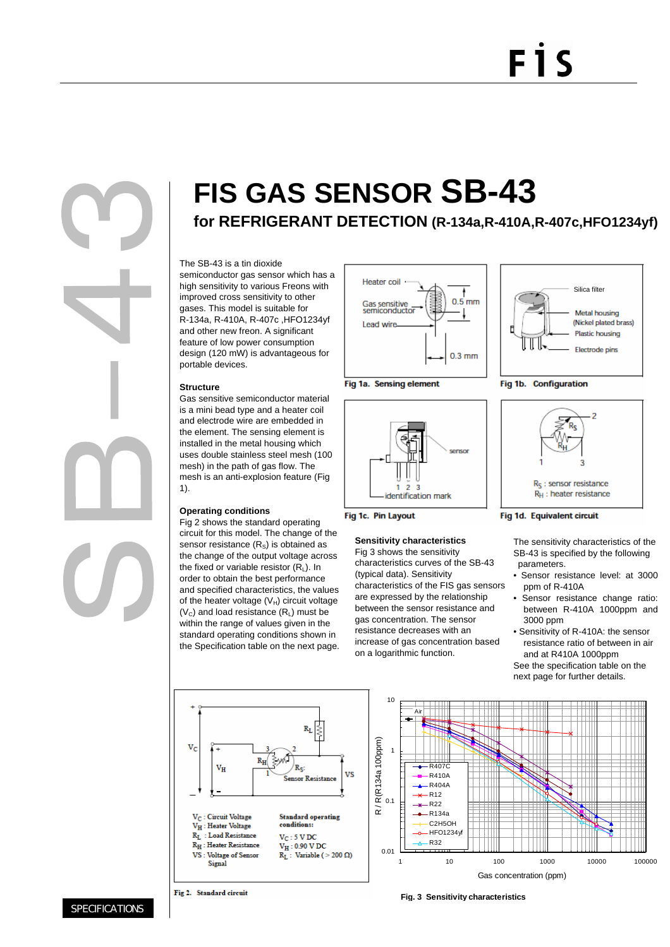# F<sub>1</sub>S

## **FIS GAS SENSOR SB-43**

**for REFRIGERANT DETECTION (R-134a,R-410A,R-407c,HFO1234yf)**

## The SB-43 is a tin dioxide

semiconductor gas sensor which has a high sensitivity to various Freons with improved cross sensitivity to other gases. This model is suitable for R-134a, R-410A, R-407c ,HFO1234yf and other new freon. A significant feature of low power consumption design (120 mW) is advantageous for portable devices.

## **Structure**

Gas sensitive semiconductor material is a mini bead type and a heater coil and electrode wire are embedded in the element. The sensing element is installed in the metal housing which uses double stainless steel mesh (100 mesh) in the path of gas flow. The mesh is an anti-explosion feature (Fig 1).

## **Operating conditions**

Fig 2 shows the standard operating circuit for this model. The change of the sensor resistance  $(R<sub>s</sub>)$  is obtained as the change of the output voltage across the fixed or variable resistor  $(R<sub>L</sub>)$ . In order to obtain the best performance and specified characteristics, the values of the heater voltage  $(V_H)$  circuit voltage  $(V<sub>C</sub>)$  and load resistance  $(R<sub>L</sub>)$  must be within the range of values given in the standard operating conditions shown in the Specification table on the next page.







Fig 1c. Pin Layout

## **Sensitivity characteristics**

Fig 3 shows the sensitivity characteristics curves of the SB-43 (typical data). Sensitivity characteristics of the FIS gas sensors are expressed by the relationship between the sensor resistance and gas concentration. The sensor resistance decreases with an increase of gas concentration based on a logarithmic function.



Fig 1b. Configuration



### Fig 1d. Equivalent circuit

The sensitivity characteristics of the SB-43 is specified by the following parameters.

- Sensor resistance level: at 3000 ppm of R-410A
- Sensor resistance change ratio: between R-410A 1000ppm and 3000 ppm
- Sensitivity of R-410A: the sensor resistance ratio of between in air and at R410A 1000ppm See the specification table on the next page for further details.





**Fig. 3 Sensitivity characteristics**

**SPECIFICATIONS**